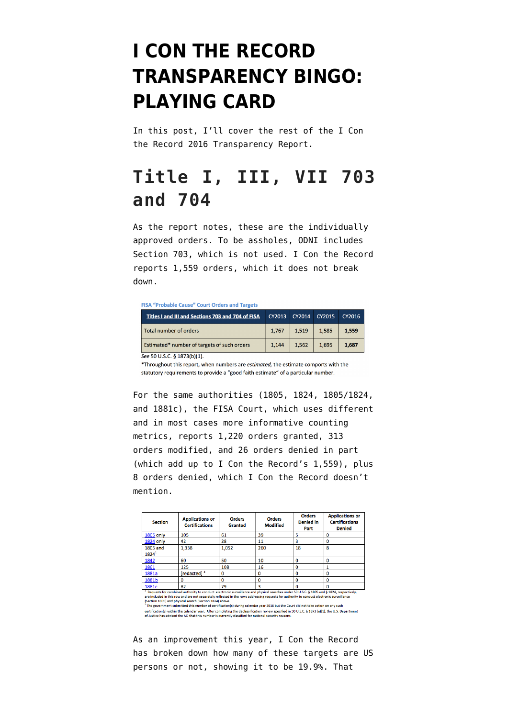# **[I CON THE RECORD](https://www.emptywheel.net/2017/05/03/i-con-the-record-transparency-bingo-playing-card/) [TRANSPARENCY BINGO:](https://www.emptywheel.net/2017/05/03/i-con-the-record-transparency-bingo-playing-card/) [PLAYING CARD](https://www.emptywheel.net/2017/05/03/i-con-the-record-transparency-bingo-playing-card/)**

In this post, I'll cover the rest of the [I Con](https://www.dni.gov/files/icotr/ic_transparecy_report_cy2016_5_2_17.pdf) [the Record 2016 Transparency Report](https://www.dni.gov/files/icotr/ic_transparecy_report_cy2016_5_2_17.pdf).

## **Title I, III, VII 703 and 704**

As the report notes, these are the individually approved orders. To be assholes, ODNI includes Section 703, which is not used. I Con the Record reports 1,559 orders, which it does not break down.

FISA "Probable Cause" Court Orders and Targets

| Titles I and III and Sections 703 and 704 of FISA | CY2013 | CY2014 | CY2015 | CY2016 |
|---------------------------------------------------|--------|--------|--------|--------|
| Total number of orders                            | 1,767  | 1,519  | 1,585  | 1.559  |
| Estimated* number of targets of such orders       | 1.144  | 1.562  | 1.695  | 1.687  |

See 50 U.S.C. § 1873(b)(1).

\*Throughout this report, when numbers are *estimated*, the estimate comports with the statutory requirements to provide a "good faith estimate" of a particular number.

For the same authorities (1805, 1824, 1805/1824, and 1881c), the FISA Court, which uses different and in most cases more informative counting metrics, [reports](http://www.uscourts.gov/sites/default/files/ao_foreign_int_surveillance_court_annual_report_2016_final_0.pdf) 1,220 orders granted, 313 orders modified, and 26 orders denied in part (which add up to I Con the Record's 1,559), plus 8 orders denied, which I Con the Record doesn't mention.

| <b>Section</b>              | <b>Applications or</b><br><b>Certifications</b> | <b>Orders</b><br>Granted | <b>Orders</b><br><b>Modified</b> | <b>Orders</b><br><b>Denied</b> in<br>Part | <b>Applications or</b><br><b>Certifications</b><br><b>Denied</b> |
|-----------------------------|-------------------------------------------------|--------------------------|----------------------------------|-------------------------------------------|------------------------------------------------------------------|
| <b>1805 only</b>            | 105                                             | 61                       | 39                               | 5                                         | ٥                                                                |
| <b>1824 only</b>            | 42                                              | 28                       | 11                               | 3                                         | 0                                                                |
| <b>1805 and</b><br>$1824^1$ | 1,338                                           | 1,052                    | 260                              | 18                                        | 8                                                                |
| 1842                        | 60                                              | 50                       | 10                               | 0                                         | 0                                                                |
| 1861                        | 125                                             | 108                      | 16                               | 0                                         |                                                                  |
| 1881a                       | [redacted] <sup>2</sup>                         |                          |                                  | 0                                         | ٥                                                                |
| 1881b                       | 0                                               | Ω                        | o                                | 0                                         | 0                                                                |
| 1881c                       | 82                                              | 79                       | ٩                                | ο                                         | o                                                                |

are included in this row and are not separately reflected in the rows addressing requests for authority to conduct electronic surveillance are included in this row and are not separately reflected in the rows addressing re

certification(s) within the calendar year. After completing the declassification review specified in 50 U.S.C. § 1873 (a)(1), the U.S. Department<br>of Justice has advised the AO that this number is currently classified for n

As an improvement this year, I Con the Record has broken down how many of these targets are US persons or not, showing it to be 19.9%. That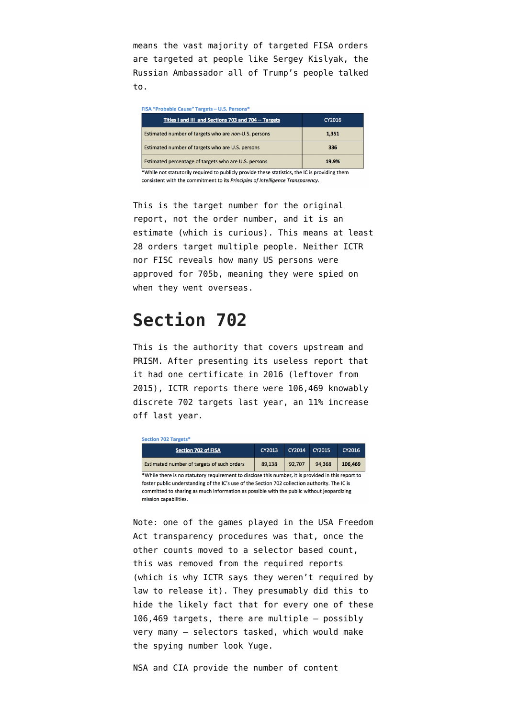means the vast majority of targeted FISA orders are targeted at people like Sergey Kislyak, the Russian Ambassador all of Trump's people talked to.

| FISA "Probable Cause" Targets - U.S. Persons*                                                  |        |  |  |
|------------------------------------------------------------------------------------------------|--------|--|--|
| Titles I and III and Sections 703 and 704 -- Targets                                           | CY2016 |  |  |
| Estimated number of targets who are non-U.S. persons                                           | 1.351  |  |  |
| Estimated number of targets who are U.S. persons                                               | 336    |  |  |
| Estimated percentage of targets who are U.S. persons                                           | 19.9%  |  |  |
| *While not statutorily required to publicly provide these statistics, the IC is providing them |        |  |  |

consistent with the commitment to its Principles of Intelligence Transparency.

This is the target number for the original report, not the order number, and it is an estimate (which is curious). This means at least 28 orders target multiple people. Neither ICTR nor FISC reveals how many US persons were approved for 705b, meaning they were spied on when they went overseas.

## **Section 702**

This is the authority that covers upstream and PRISM. After presenting its useless report that it had one certificate in 2016 (leftover from 2015), ICTR reports there were 106,469 knowably discrete 702 targets last year, an 11% increase off last year.

| <b>Section 702 Targets*</b>                                                                                        |        |        |        |         |  |
|--------------------------------------------------------------------------------------------------------------------|--------|--------|--------|---------|--|
| <b>Section 702 of FISA</b>                                                                                         | CY2013 | CY2014 | CY2015 | CY2016  |  |
| Estimated number of targets of such orders                                                                         | 89,138 | 92.707 | 94.368 | 106.469 |  |
| *While there is no statutory requirement to disclose this number, it is provided in this report to                 |        |        |        |         |  |
| foster public understanding of the IC's use of the Section 702 collection authority. The IC is                     |        |        |        |         |  |
| committed to sharing as much information as possible with the public without jeopardizing<br>mission capabilities. |        |        |        |         |  |

Note: one of the games played in the USA Freedom Act transparency procedures was that, once the other counts moved to a selector based count, this was removed from the required reports (which is why ICTR says they weren't required by law to release it). They presumably did this to hide the likely fact that for every one of these 106,469 targets, there are multiple — possibly very many — selectors tasked, which would make the spying number look Yuge.

NSA and CIA provide the number of content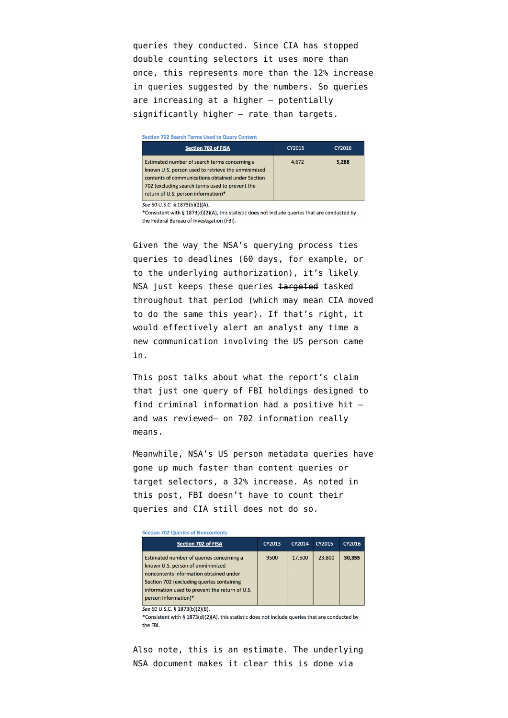queries they conducted. Since CIA has stopped double counting selectors it uses more than once, this represents more than the 12% increase in queries suggested by the numbers. So queries are increasing at a higher — potentially significantly higher — rate than targets.

#### **Section 702 Search Terms Used to Query Content** CY2015 CY2016 **Section 702 of FISA** Estimated number of search terms concerning a 4,672 5,288 known U.S. person used to retrieve the unminimized contents of communications obtained under Section 702 (excluding search terms used to prevent the return of U.S. person information)\* See 50 U.S.C. § 1873(b)(2)(A)

\*Consistent with § 1873(d)(2)(A), this statistic does not include queries that are conducted by the Federal Bureau of Investigation (FBI).

Given the way the [NSA's querying process](https://www.aclu.org/foia-document/nsa-us-person-queries-within-faa-702-prism-and-telephony-content-collection) ties queries to deadlines (60 days, for example, or to the underlying authorization), it's likely NSA just keeps these queries targeted tasked throughout that period (which may mean CIA moved to do the same this year). If that's right, it would effectively alert an analyst any time a new communication involving the US person came in.

[This post](https://www.emptywheel.net/2017/05/02/i-con-the-record-transparency-bingo-1-only-one-positive-hit-on-a-criminal-search/) talks about what the report's claim that just one query of FBI holdings designed to find criminal information had a positive hit and was reviewed– on 702 information really means.

Meanwhile, NSA's US person metadata queries have gone up much faster than content queries or target selectors, a 32% increase. As noted [in](https://www.emptywheel.net/2017/05/02/i-con-the-record-transparency-bingo-3-cia-continues-to-hide-its-us-person-network-analysis/) [this post,](https://www.emptywheel.net/2017/05/02/i-con-the-record-transparency-bingo-3-cia-continues-to-hide-its-us-person-network-analysis/) FBI doesn't have to count their queries and CIA still does not do so.

Section 702 Queries of Noncontents

| <b>Section 702 of FISA</b>                     | CY2013 | CY2014 | CY2015 | CY2016 |
|------------------------------------------------|--------|--------|--------|--------|
| Estimated number of queries concerning a       | 9500   | 17.500 | 23,800 | 30.355 |
| known U.S. person of unminimized               |        |        |        |        |
| noncontents information obtained under         |        |        |        |        |
| Section 702 (excluding queries containing      |        |        |        |        |
| information used to prevent the return of U.S. |        |        |        |        |
| person information)*                           |        |        |        |        |
|                                                |        |        |        |        |

See 50 U.S.C. § 1873(b)(2)(B).

\*Consistent with § 1873(d)(2)(A), this statistic does not include queries that are conducted by the FBI

Also note, this is an estimate. The underlying [NSA document](https://www.aclu.org/foia-document/nsa-us-person-queries-communications-metadata-derived-faa-702-redacted-and-telephony) makes it clear this is done via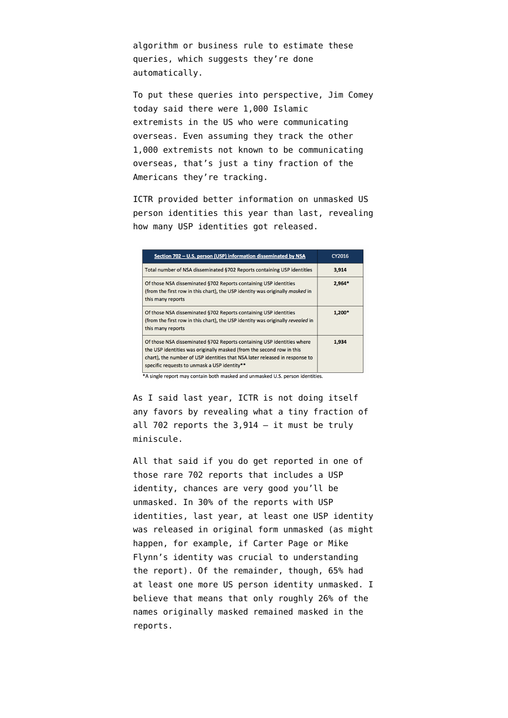algorithm or business rule to estimate these queries, which suggests they're done automatically.

To put these queries into perspective, Jim Comey today said there were 1,000 Islamic extremists in the US who were communicating overseas. Even assuming they track the other 1,000 extremists not known to be communicating overseas, that's just a tiny fraction of the Americans they're tracking.

ICTR provided better information on unmasked US person identities this year than last, revealing how many USP identities got released.

| Section 702 - U.S. person (USP) information disseminated by NSA                                                                                                                                                                                                                | CY2016   |
|--------------------------------------------------------------------------------------------------------------------------------------------------------------------------------------------------------------------------------------------------------------------------------|----------|
| Total number of NSA disseminated §702 Reports containing USP identities                                                                                                                                                                                                        | 3.914    |
| Of those NSA disseminated §702 Reports containing USP identities<br>(from the first row in this chart), the USP identity was originally masked in<br>this many reports                                                                                                         | 2.964*   |
| Of those NSA disseminated §702 Reports containing USP identities<br>(from the first row in this chart), the USP identity was originally revealed in<br>this many reports                                                                                                       | $1.200*$ |
| Of those NSA disseminated §702 Reports containing USP identities where<br>the USP identities was originally masked (from the second row in this<br>chart), the number of USP identities that NSA later released in response to<br>specific requests to unmask a USP identity** | 1.934    |

\*A single report may contain both masked and unmasked U.S. person identities.

As I said last year, ICTR is not doing itself any favors by revealing what a tiny fraction of all 702 reports the 3,914 — it must be truly miniscule.

All that said if you do get reported in one of those rare 702 reports that includes a USP identity, chances are very good you'll be unmasked. In 30% of the reports with USP identities, last year, at least one USP identity was released in original form unmasked (as might happen, for example, if Carter Page or Mike Flynn's identity was crucial to understanding the report). Of the remainder, though, 65% had at least one more US person identity unmasked. I believe that means that only roughly 26% of the names originally masked remained masked in the reports.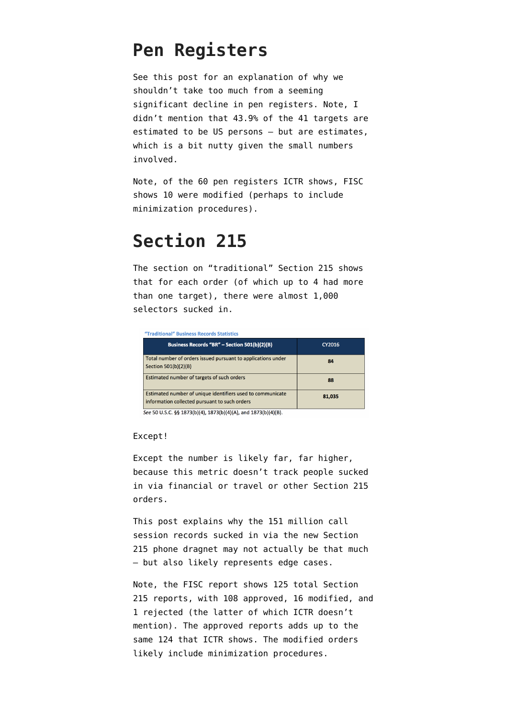### **Pen Registers**

See [this post](https://www.emptywheel.net/2017/05/02/i-con-the-record-transparency-bingo-2-the-inexplicable-drop-in-prtt-numbers/) for an explanation of why we shouldn't take too much from a seeming significant decline in pen registers. Note, I didn't mention that 43.9% of the 41 targets are estimated to be US persons — but are estimates, which is a bit nutty given the small numbers involved.

Note, of the 60 pen registers ICTR shows, FISC shows 10 were modified (perhaps to include minimization procedures).

## **Section 215**

The section on "traditional" Section 215 shows that for each order (of which up to 4 had more than one target), there were almost 1,000 selectors sucked in.

| "Traditional" Business Records Statistics                                                                   |        |  |  |  |
|-------------------------------------------------------------------------------------------------------------|--------|--|--|--|
| Business Records "BR" - Section 501(b)(2)(B)                                                                | CY2016 |  |  |  |
| Total number of orders issued pursuant to applications under<br>Section 501(b)(2)(B)                        | 84     |  |  |  |
| Estimated number of targets of such orders                                                                  | 88     |  |  |  |
| Estimated number of unique identifiers used to communicate<br>information collected pursuant to such orders | 81,035 |  |  |  |

See 50 U.S.C. §§ 1873(b)(4), 1873(b)(4)(A), and 1873(b)(4)(B).

#### Except!

Except the number is likely far, far higher, because this metric doesn't track people sucked in via financial or travel or other Section 215 orders.

[This post](https://www.emptywheel.net/2017/05/03/i-con-the-record-transparency-bingo-4-how-151-million-call-events-can-look-reasonable-but-is-besides-the-point/) explains why the 151 million call session records sucked in via the new Section 215 phone dragnet may not actually be that much — but also likely represents edge cases.

Note, the FISC report shows 125 total Section 215 reports, with 108 approved, 16 modified, and 1 rejected (the latter of which ICTR doesn't mention). The approved reports adds up to the same 124 that ICTR shows. The modified orders likely include minimization procedures.